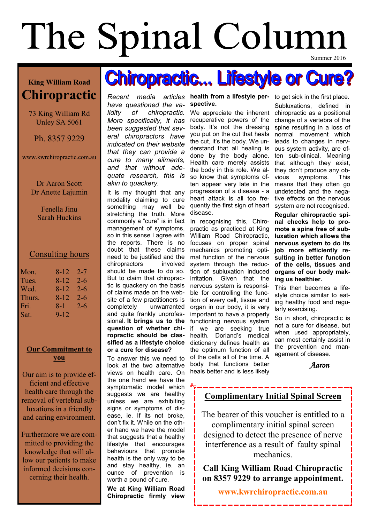# The Spinal Column Summer 2016

### **King William Road Chiropractic**

73 King William Rd Unley SA 5061

Ph. 8357 9229

www.kwrchiropractic.com.au

Dr Aaron Scott Dr Anette Lajumin

> Fenella Jinu Sarah Huckins

#### Consulting hours

| Mon.   | 8-12  | 2-7     |
|--------|-------|---------|
| Tues.  | 8-12  | $2 - 6$ |
| Wed.   | 8-12  | $2 - 6$ |
| Thurs. | 8-12  | $2 - 6$ |
| Fri.   | $8-1$ | $2 - 6$ |
| Sat.   | 9-12  |         |

#### **Our Commitment to you**

Our aim is to provide efficient and effective health care through the removal of vertebral subluxations in a friendly and caring environment.

Furthermore we are committed to providing the knowledge that will allow our patients to make informed decisions concerning their health.

**Recent** media articles health from a lifestyle per- to get sick in the first place. *have questioned the validity of chiropractic. More specifically, it has been suggested that several chiropractors have indicated on their website that they can provide a cure to many ailments, and that without adequate research, this is* 

*akin to quackery.* It is my thought that any modality claiming to cure something may well be stretching the truth. More commonly a "cure" is in fact management of symptoms, so in this sense I agree with the reports. There is no doubt that these claims need to be justified and the chiropractors involved should be made to do so. But to claim that chiropractic is quackery on the basis of claims made on the website of a few practitioners is completely unwarranted and quite frankly unprofessional. **It brings us to the question of whether chiropractic should be classified as a lifestyle choice or a cure for disease?**

To answer this we need to look at the two alternative views on health care. On the one hand we have the symptomatic model which suggests we are healthy unless we are exhibiting signs or symptoms of disease, ie. If its not broke, don't fix it. While on the other hand we have the model that suggests that a healthy lifestyle that encourages behaviours that promote health is the only way to be and stay healthy, ie. an ounce of prevention is worth a pound of cure.

**We at King William Road Chiropractic firmly view** 

## **spective.**

**Chiropractic... Lifestyle or Cure?** 

We appreciate the inherent recuperative powers of the body. It's not the dressing you put on the cut that heals the cut, it's the body. We understand that all healing is done by the body alone. Health care merely assists the body in this role. We also know that symptoms often appear very late in the progression of a disease - a heart attack is all too frequently the first sign of heart disease.

In recognising this, Chiropractic as practiced at King William Road Chiropractic, focuses on proper spinal mechanics promoting optimal function of the nervous system through the reduction of subluxation induced irritation. Given that the nervous system is responsible for controlling the function of every cell, tissue and organ in our body, it is very important to have a properly functioning nervous system if we are seeking true health. Dorland's medical dictionary defines health as the optimum function of all of the cells all of the time. A body that functions better heals better and is less likely

Subluxations, defined in chiropractic as a positional change of a vertebra of the spine resulting in a loss of normal movement which leads to changes in nervous system activity, are often sub-clinical. Meaning that although they exist, they don't produce any obvious symptoms. This means that they often go undetected and the negative effects on the nervous system are not recognised.

**Regular chiropractic spinal checks help to promote a spine free of subluxation which allows the nervous system to do its job more efficiently resulting in better function of the cells, tissues and organs of our body making us healthier.** 

This then becomes a lifestyle choice similar to eating healthy food and regularly exercising.

So in short, chiropractic is not a cure for disease, but when used appropriately, can most certainly assist in the prevention and management of disease.

 *Aaron*

### **Complimentary Initial Spinal Screen**

The bearer of this voucher is entitled to a complimentary initial spinal screen designed to detect the presence of nerve interference as a result of faulty spinal mechanics.

#### **Call King William Road Chiropractic on 8357 9229 to arrange appointment.**

**www.kwrchiropractic.com.au**